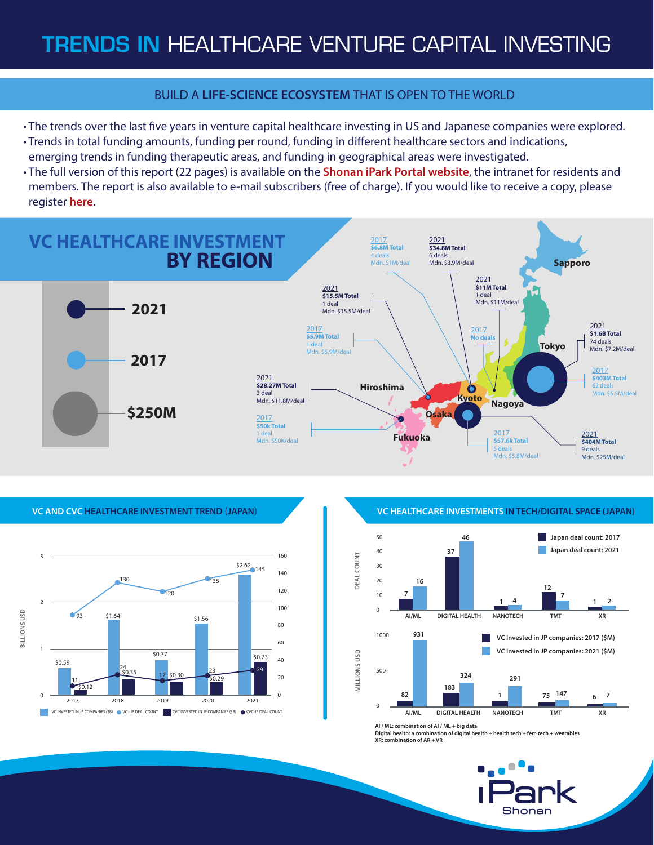## BUILD A **LIFE-SCIENCE ECOSYSTEM** THAT IS OPEN TO THE WORLD

- The trends over the last five years in venture capital healthcare investing in US and Japanese companies were explored.
- Trends in total funding amounts, funding per round, funding in different healthcare sectors and indications, emerging trends in funding therapeutic areas, and funding in geographical areas were investigated.
- The full version of this report (22 pages) is available on the **[Shonan iPark Portal website](https://www.portal.shonan-ipark.com/?lang=en)**, the intranet for residents and members. The report is also available to e-mail subscribers (free of charge). If you would like to receive a copy, please register **[here](https://www2.shonan-ipark.com/vc-report202205inputen.html)**.

## 2017 **\$6.8M Total** 4 deals Mdn. \$1M/deal 2021 **\$15.5M Total** .<br>1 deal Mdn. \$15.5M/deal **VC HEALTHCARE INVESTMENT BY REGION 2021**







**VC AND CVC HEALTHCARE INVESTMENT TREND** (**JAPAN**) **VC HEALTHCARE INVESTMENTS IN TECH/DIGITAL SPACE (JAPAN)**



**AI / ML: combination of AI / ML + big data**

**Digital health: a combination of digital health + health tech + fem tech + wearables XR: combination of AR + VR**